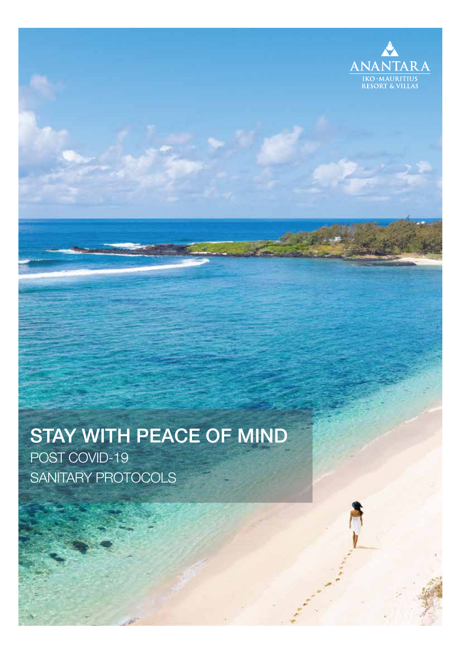

# STAY WITH PEACE OF MIND

POST COVID-19 SANITARY PROTOCOLS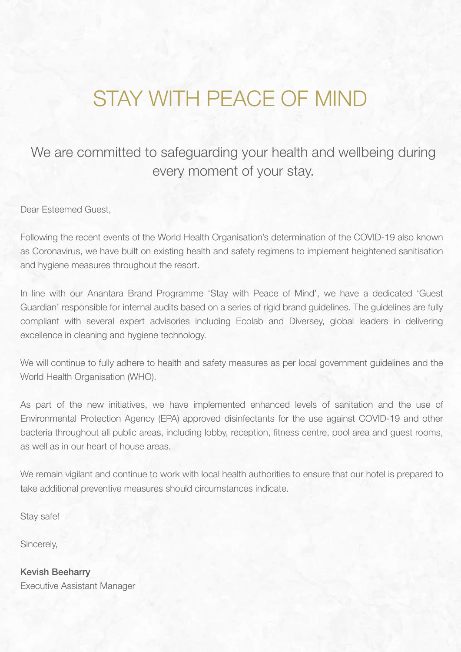#### STAY WITH PEACE OF MIND

#### We are committed to safeguarding your health and wellbeing during every moment of your stay.

Dear Esteemed Guest,

Following the recent events of the World Health Organisation's determination of the COVID-19 also known as Coronavirus, we have built on existing health and safety regimens to implement heightened sanitisation and hygiene measures throughout the resort.

In line with our Anantara Brand Programme 'Stay with Peace of Mind', we have a dedicated 'Guest Guardian' responsible for internal audits based on a series of rigid brand guidelines. The guidelines are fully compliant with several expert advisories including Ecolab and Diversey, global leaders in delivering excellence in cleaning and hygiene technology.

We will continue to fully adhere to health and safety measures as per local government guidelines and the World Health Organisation (WHO).

As part of the new initiatives, we have implemented enhanced levels of sanitation and the use of Environmental Protection Agency (EPA) approved disinfectants for the use against COVID-19 and other bacteria throughout all public areas, including lobby, reception, fitness centre, pool area and guest rooms, as well as in our heart of house areas.

We remain vigilant and continue to work with local health authorities to ensure that our hotel is prepared to take additional preventive measures should circumstances indicate.

Stay safe!

Sincerely,

Kevish Beeharry Executive Assistant Manager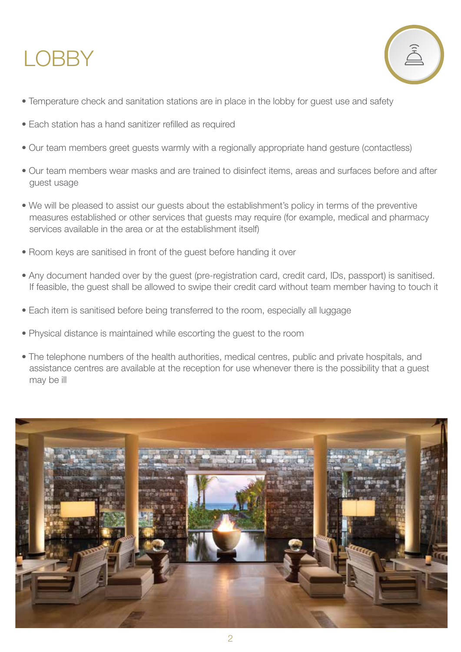## **LOBBY**



- Temperature check and sanitation stations are in place in the lobby for guest use and safety
- Each station has a hand sanitizer refilled as required
- Our team members greet guests warmly with a regionally appropriate hand gesture (contactless)
- Our team members wear masks and are trained to disinfect items, areas and surfaces before and after guest usage
- We will be pleased to assist our guests about the establishment's policy in terms of the preventive measures established or other services that guests may require (for example, medical and pharmacy services available in the area or at the establishment itself)
- Room keys are sanitised in front of the guest before handing it over
- Any document handed over by the guest (pre-registration card, credit card, IDs, passport) is sanitised. If feasible, the guest shall be allowed to swipe their credit card without team member having to touch it
- Each item is sanitised before being transferred to the room, especially all luggage
- Physical distance is maintained while escorting the guest to the room
- The telephone numbers of the health authorities, medical centres, public and private hospitals, and assistance centres are available at the reception for use whenever there is the possibility that a guest may be ill

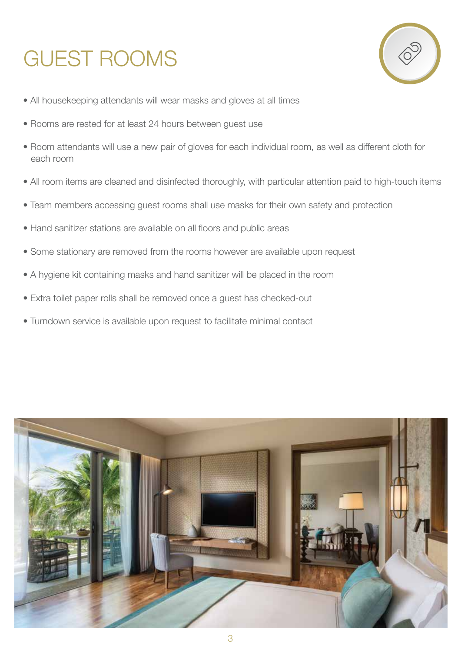# GUEST ROOMS



- All housekeeping attendants will wear masks and gloves at all times
- Rooms are rested for at least 24 hours between guest use
- Room attendants will use a new pair of gloves for each individual room, as well as different cloth for each room
- All room items are cleaned and disinfected thoroughly, with particular attention paid to high-touch items
- Team members accessing guest rooms shall use masks for their own safety and protection
- Hand sanitizer stations are available on all floors and public areas
- Some stationary are removed from the rooms however are available upon request
- A hygiene kit containing masks and hand sanitizer will be placed in the room
- Extra toilet paper rolls shall be removed once a guest has checked-out
- Turndown service is available upon request to facilitate minimal contact

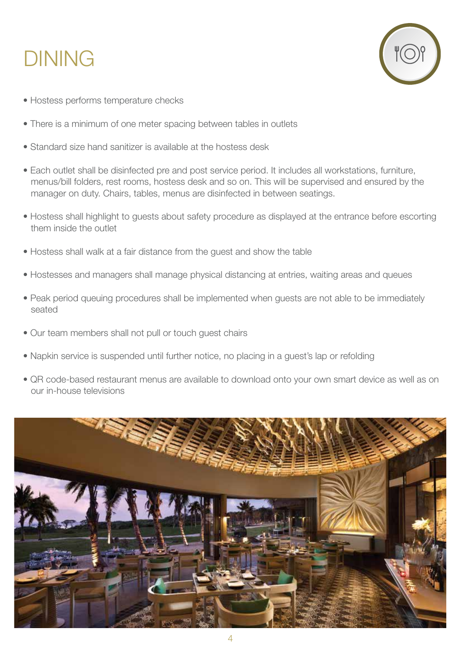## DINING



- Hostess performs temperature checks
- There is a minimum of one meter spacing between tables in outlets
- Standard size hand sanitizer is available at the hostess desk
- Each outlet shall be disinfected pre and post service period. It includes all workstations, furniture, menus/bill folders, rest rooms, hostess desk and so on. This will be supervised and ensured by the manager on duty. Chairs, tables, menus are disinfected in between seatings.
- Hostess shall highlight to guests about safety procedure as displayed at the entrance before escorting them inside the outlet
- Hostess shall walk at a fair distance from the guest and show the table
- Hostesses and managers shall manage physical distancing at entries, waiting areas and queues
- Peak period queuing procedures shall be implemented when guests are not able to be immediately seated
- Our team members shall not pull or touch guest chairs
- Napkin service is suspended until further notice, no placing in a guest's lap or refolding
- QR code-based restaurant menus are available to download onto your own smart device as well as on our in-house televisions

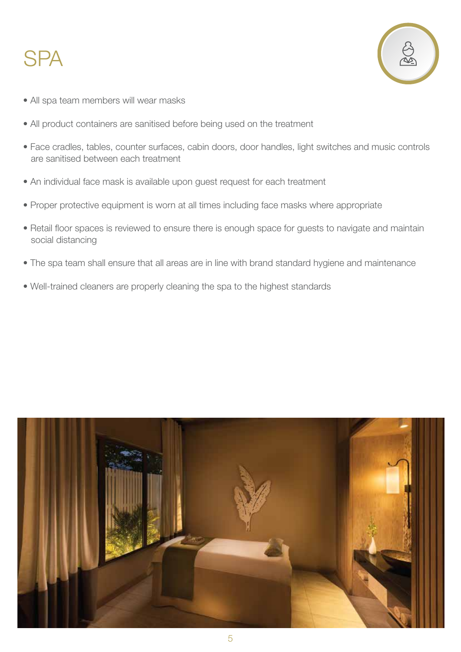#### **SPA**



- All spa team members will wear masks
- All product containers are sanitised before being used on the treatment
- Face cradles, tables, counter surfaces, cabin doors, door handles, light switches and music controls are sanitised between each treatment
- An individual face mask is available upon guest request for each treatment
- Proper protective equipment is worn at all times including face masks where appropriate
- Retail floor spaces is reviewed to ensure there is enough space for guests to navigate and maintain social distancing
- The spa team shall ensure that all areas are in line with brand standard hygiene and maintenance
- Well-trained cleaners are properly cleaning the spa to the highest standards

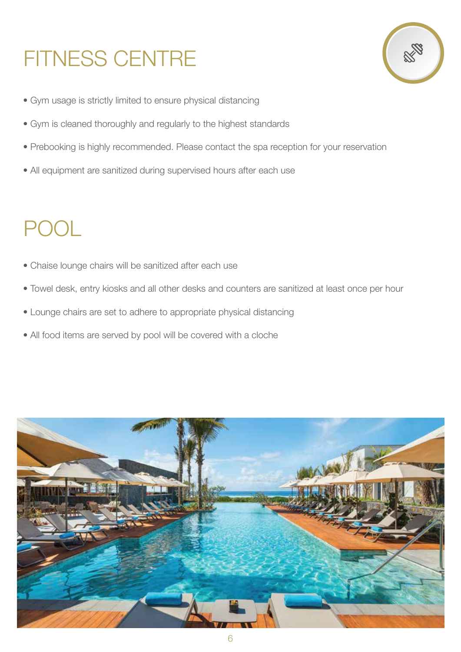# FITNESS CENTRE



- Gym usage is strictly limited to ensure physical distancing
- Gym is cleaned thoroughly and regularly to the highest standards
- Prebooking is highly recommended. Please contact the spa reception for your reservation
- All equipment are sanitized during supervised hours after each use

## POOL

- Chaise lounge chairs will be sanitized after each use
- Towel desk, entry kiosks and all other desks and counters are sanitized at least once per hour
- Lounge chairs are set to adhere to appropriate physical distancing
- All food items are served by pool will be covered with a cloche